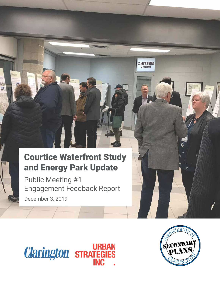# Courtice Waterfront Study and Energy Park Update

۳  $AL$ 

> Public Meeting #1 Engagement Feedback Report December 3, 2019





 $MEETING  
Room 2$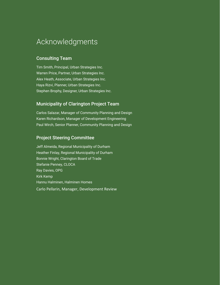### Acknowledgments

#### Consulting Team

Tim Smith, Principal, Urban Strategies Inc. Warren Price, Partner, Urban Strategies Inc. Alex Heath, Associate, Urban Strategies Inc. Haya Rizvi, Planner, Urban Strategies Inc. Stephen Brophy, Designer, Urban Strategies Inc.

#### Municipality of Clarington Project Team

Carlos Salazar, Manager of Community Planning and Design Karen Richardson, Manager of Development Engineering Paul Wirch, Senior Planner, Community Planning and Design

#### Project Steering Committee

Jeff Almeida, Regional Municipality of Durham Heather Finlay, Regional Municipality of Durham Bonnie Wright, Clarington Board of Trade Stefanie Penney, CLOCA Ray Davies, OPG Kirk Kemp Hannu Halminen, Halminen Homes Carlo Pellarin, Manager, Development Review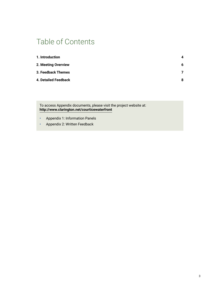### Table of Contents

| 1. Introduction             | Δ |
|-----------------------------|---|
| 2. Meeting Overview         | 6 |
| 3. Feedback Themes          | 7 |
| <b>4. Detailed Feedback</b> | 8 |

To access Appendix documents, please visit the project website at: **<http://www.clarington.net/courticewaterfront>**

- **•** Appendix 1: Information Panels
- **•** Appendix 2: Written Feedback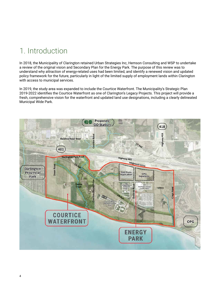## <span id="page-3-0"></span>1. Introduction

In 2018, the Municipality of Clarington retained Urban Strategies Inc, Hemson Consulting and WSP to undertake a review of the original vision and Secondary Plan for the Energy Park. The purpose of this review was to understand why attraction of energy-related uses had been limited, and identify a renewed vision and updated policy framework for the future, particularly in light of the limited supply of employment lands within Clarington with access to municipal services.

In 2019, the study area was expanded to include the Courtice Waterfront. The Municipality's Strategic Plan 2019-2022 identifies the Courtice Waterfront as one of Clarington's Legacy Projects. This project will provide a fresh, comprehensive vision for the waterfront and updated land use designations, including a clearly delineated Municipal Wide Park.

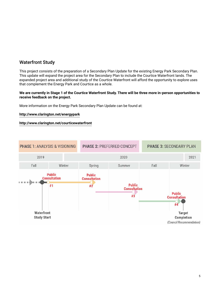### Waterfront Study

This project consists of the preparation of a Secondary Plan Update for the existing Energy Park Secondary Plan. This update will expand the project area for the Secondary Plan to include the Courtice Waterfront lands. The expanded project area and additional study of the Courtice Waterfront will afford the opportunity to explore uses that complement the Energy Park and Courtice as a whole.

#### **We are currently in Stage 1 of the Courtice Waterfront Study. There will be three more in-person opportunities to receive feedback on the project.**

More information on the Energy Park Secondary Plan Update can be found at:

#### **<http://www.clarington.net/energypark>**

#### **<http://www.clarington.net/courticewaterfront>**

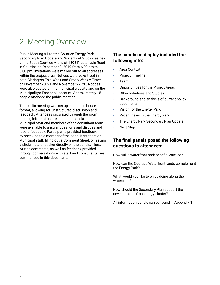## <span id="page-5-0"></span>2. Meeting Overview

Public Meeting #1 for the Courtice Energy Park Secondary Plan Update and Waterfront Study was held at the South Courtice Arena at 1595 Prestonvale Road in Courtice on December 3, 2019 from 6:00 pm to 8:00 pm. Invitations were mailed out to all addresses within the project area. Notices were advertised in both Clarington This Week and Orono Weekly Times on November 20, 21 and November 27, 28. Notices were also posted on the municipal website and on the Municipality's Facebook account. Approximately 15 people attended the public meeting.

The public meeting was set up in an open house format, allowing for unstructured discussion and feedback. Attendees circulated through the room reading information presented on panels, and Municipal staff and members of the consultant team were available to answer questions and discuss and record feedback. Participants provided feedback by speaking to a member of the consultant team or Municipal staff, filling out a Comment Sheet, or leaving a sticky note or sticker directly on the panels. These written comments, as well as feedback provided through conversations with staff and consultants, are summarized in this document.

#### **The panels on display included the following info:**

- **•** Area Context
- **•** Project Timeline
- **•** Team
- **•** Opportunities for the Project Areas
- **•** Other Initiatives and Studies
- **•** Background and analysis of current policy documents
- **•** Vision for the Energy Park
- **•** Recent news in the Energy Park
- **•** The Energy Park Secondary Plan Update
- **•** Next Step

#### **The final panels posed the following questions to attendees:**

How will a waterfront park benefit Courtice?

How can the Courtice Waterfront lands complement the Energy Park?

What would you like to enjoy doing along the waterfront?

How should the Secondary Plan support the development of an energy cluster?

All information panels can be found in Appendix 1.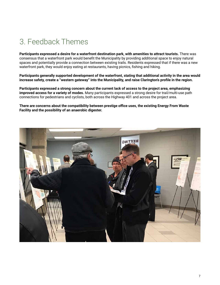# <span id="page-6-0"></span>3. Feedback Themes

**Participants expressed a desire for a waterfront destination park, with amenities to attract tourists.** There was consensus that a waterfront park would benefit the Municipality by providing additional space to enjoy natural spaces and potentially provide a connection between existing trails. Residents expressed that if there was a new waterfront park, they would enjoy eating at restaurants, having picnics, fishing and hiking.

**Participants generally supported development of the waterfront, stating that additional activity in the area would increase safety, create a "western gateway" into the Municipality, and raise Clarington's profile in the region.** 

**Participants expressed a strong concern about the current lack of access to the project area, emphasizing improved access for a variety of modes.** Many participants expressed a strong desire for trail/multi-use path connections for pedestrians and cyclists, both across the Highway 401 and across the project area.

**There are concerns about the compatibility between prestige office uses, the existing Energy From Waste Facility and the possibility of an anaerobic digester.**

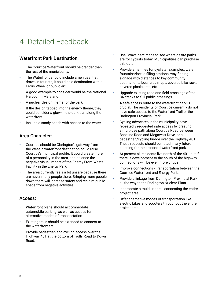## <span id="page-7-0"></span>4. Detailed Feedback

### Waterfront Park Destination:

- **•** The Courtice Waterfront should be grander than the rest of the municipality.
- **•** The Waterfront should include amenities that draws in tourists, it could be a destination with a Ferris Wheel or public art.
- **•** A good example to consider would be the National Harbour in Maryland.
- **•** A nuclear design theme for the park.
- **•** If the design tapped into the energy theme, they could consider a glow-in-the-dark trail along the waterfront.
- **•** Include a sandy beach with access to the water.

#### Area Character:

- **•** Courtice should be Clarington's gateway from the West, a waterfront destination could raise Courtice's municipal profile. It could create more of a personality in the area, and balance the negative visual impact of the Energy From Waste Facility in the Energy Park.
- **•** The area currently feels a bit unsafe because there are never many people there. Bringing more people down there will increase safety and reclaim public space from negative activities.

#### Access:

- **•** Waterfront plans should accommodate automobile parking, as well as access for alternative modes of transportation.
- **•** Existing trails should be extended to connect to the waterfront trail.
- **•** Provide pedestrian and cycling access over the Highway 401 at the bottom of Trulls Road to Down Road.
- **•** Use Strava heat maps to see where desire paths are for cyclists today. Municipalities can purchase this data.
- **•** Provide amenities for cyclists. Examples: water fountains/bottle filling stations, way-finding signage with distances to key community destinations, local area maps, covered bike racks, covered picnic area, etc.
- **•** Upgrade existing road and field crossings of the CN tracks to full public crossings.
- **•** A safe access route to the waterfront park is crucial. The residents of Courtice currently do not have safe access to the Waterfront Trail or the Darlington Provincial Park.
- **•** Cycling advocates in the municipality have repeatedly requested safe access by creating a multi-use path along Courtice Road between Baseline Road and Megawatt Drive, or a pedestrian/cycling bridge over the Highway 401. These requests should be noted in any future planning for the proposed waterfront park.
- **•** At present all residents live north of the 401, but if there is development to the south of the highway connections will be even more critical.
- **•** Improve connections / transportation between the Courtice Waterfront and Energy Park.
- **•** Provide a linkage from Darlington Provincial Park all the way to the Darlington Nuclear Plant.
- **•** Incorporate a multi-use trail connecting the entire project area.
- **•** Offer alternative modes of transportation like electric bikes and scooters throughout the entire project area.